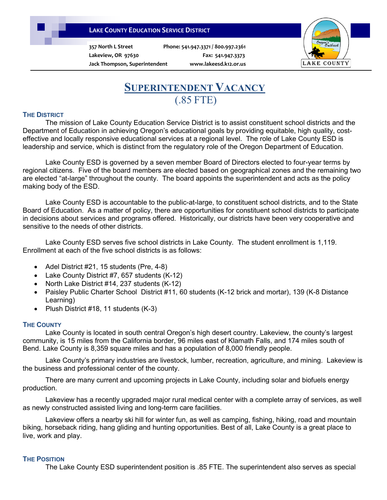## **LAKE COUNTY EDUCATION SERVICE DISTRICT**

**357 North L Street Phone: 541.947.3371 / 800.997.2361**

**Lakeview, OR 97630 Fax: 541.947.3373 Jack Thompson, Superintendent www.lakeesd.k12.or.us**



# **SUPERINTENDENT VACANCY** (.85 FTE)

#### **THE DISTRICT**

The mission of Lake County Education Service District is to assist constituent school districts and the Department of Education in achieving Oregon's educational goals by providing equitable, high quality, costeffective and locally responsive educational services at a regional level. The role of Lake County ESD is leadership and service, which is distinct from the regulatory role of the Oregon Department of Education.

Lake County ESD is governed by a seven member Board of Directors elected to four-year terms by regional citizens. Five of the board members are elected based on geographical zones and the remaining two are elected "at-large" throughout the county. The board appoints the superintendent and acts as the policy making body of the ESD.

Lake County ESD is accountable to the public-at-large, to constituent school districts, and to the State Board of Education. As a matter of policy, there are opportunities for constituent school districts to participate in decisions about services and programs offered. Historically, our districts have been very cooperative and sensitive to the needs of other districts.

Lake County ESD serves five school districts in Lake County. The student enrollment is 1,119. Enrollment at each of the five school districts is as follows:

- Adel District #21, 15 students (Pre, 4-8)
- Lake County District #7, 657 students (K-12)
- North Lake District #14, 237 students (K-12)
- Paisley Public Charter School District #11, 60 students (K-12 brick and mortar), 139 (K-8 Distance Learning)
- Plush District #18, 11 students (K-3)

#### **THE COUNTY**

Lake County is located in south central Oregon's high desert country. Lakeview, the county's largest community, is 15 miles from the California border, 96 miles east of Klamath Falls, and 174 miles south of Bend. Lake County is 8,359 square miles and has a population of 8,000 friendly people.

Lake County's primary industries are livestock, lumber, recreation, agriculture, and mining. Lakeview is the business and professional center of the county.

 There are many current and upcoming projects in Lake County, including solar and biofuels energy production.

 Lakeview has a recently upgraded major rural medical center with a complete array of services, as well as newly constructed assisted living and long-term care facilities.

 Lakeview offers a nearby ski hill for winter fun, as well as camping, fishing, hiking, road and mountain biking, horseback riding, hang gliding and hunting opportunities. Best of all, Lake County is a great place to live, work and play.

#### **THE POSITION**

The Lake County ESD superintendent position is .85 FTE. The superintendent also serves as special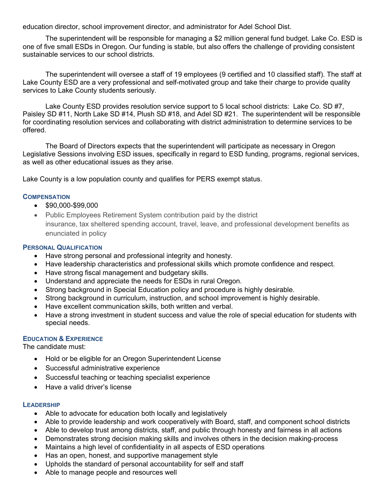education director, school improvement director, and administrator for Adel School Dist.

The superintendent will be responsible for managing a \$2 million general fund budget. Lake Co. ESD is one of five small ESDs in Oregon. Our funding is stable, but also offers the challenge of providing consistent sustainable services to our school districts.

The superintendent will oversee a staff of 19 employees (9 certified and 10 classified staff). The staff at Lake County ESD are a very professional and self-motivated group and take their charge to provide quality services to Lake County students seriously.

Lake County ESD provides resolution service support to 5 local school districts: Lake Co. SD #7, Paisley SD #11, North Lake SD #14, Plush SD #18, and Adel SD #21. The superintendent will be responsible for coordinating resolution services and collaborating with district administration to determine services to be offered.

 The Board of Directors expects that the superintendent will participate as necessary in Oregon Legislative Sessions involving ESD issues, specifically in regard to ESD funding, programs, regional services, as well as other educational issues as they arise.

Lake County is a low population county and qualifies for PERS exempt status.

### **COMPENSATION**

- \$90,000-\$99,000
- Public Employees Retirement System contribution paid by the district insurance, tax sheltered spending account, travel, leave, and professional development benefits as enunciated in policy

## **PERSONAL QUALIFICATION**

- Have strong personal and professional integrity and honesty.
- Have leadership characteristics and professional skills which promote confidence and respect.
- Have strong fiscal management and budgetary skills.
- Understand and appreciate the needs for ESDs in rural Oregon.
- Strong background in Special Education policy and procedure is highly desirable.
- Strong background in curriculum, instruction, and school improvement is highly desirable.
- Have excellent communication skills, both written and verbal.
- Have a strong investment in student success and value the role of special education for students with special needs.

## **EDUCATION & EXPERIENCE**

The candidate must:

- Hold or be eligible for an Oregon Superintendent License
- Successful administrative experience
- Successful teaching or teaching specialist experience
- Have a valid driver's license

#### **LEADERSHIP**

- Able to advocate for education both locally and legislatively
- Able to provide leadership and work cooperatively with Board, staff, and component school districts
- Able to develop trust among districts, staff, and public through honesty and fairness in all actions
- Demonstrates strong decision making skills and involves others in the decision making-process
- Maintains a high level of confidentiality in all aspects of ESD operations
- Has an open, honest, and supportive management style
- Upholds the standard of personal accountability for self and staff
- Able to manage people and resources well